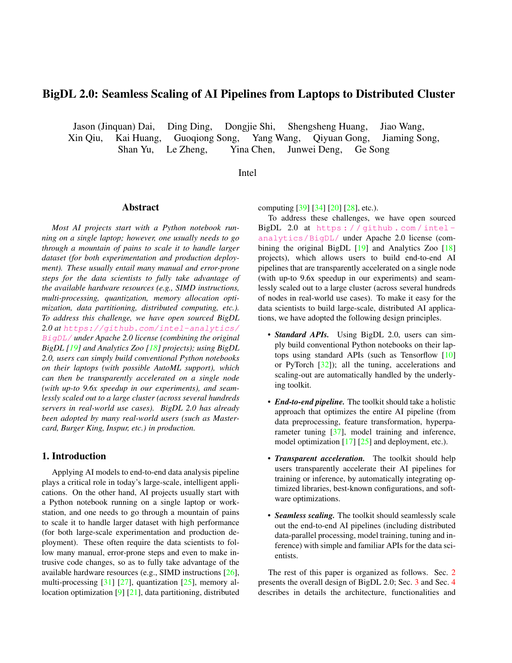# BigDL 2.0: Seamless Scaling of AI Pipelines from Laptops to Distributed Cluster

Jason (Jinquan) Dai, Ding Ding, Dongjie Shi, Shengsheng Huang, Jiao Wang, Xin Qiu, Kai Huang, Guoqiong Song, Yang Wang, Qiyuan Gong, Jiaming Song, Shan Yu, Le Zheng, Yina Chen, Junwei Deng, Ge Song

Intel

#### Abstract

*Most AI projects start with a Python notebook running on a single laptop; however, one usually needs to go through a mountain of pains to scale it to handle larger dataset (for both experimentation and production deployment). These usually entail many manual and error-prone steps for the data scientists to fully take advantage of the available hardware resources (e.g., SIMD instructions, multi-processing, quantization, memory allocation optimization, data partitioning, distributed computing, etc.). To address this challenge, we have open sourced BigDL 2.0 at* https://github.com/intel-analytics/ BigDL/ *under Apache 2.0 license (combining the original BigDL [19] and Analytics Zoo [18] projects); using BigDL 2.0, users can simply build conventional Python notebooks on their laptops (with possible AutoML support), which can then be transparently accelerated on a single node (with up-to 9.6x speedup in our experiments), and seamlessly scaled out to a large cluster (across several hundreds servers in real-world use cases). BigDL 2.0 has already been adopted by many real-world users (such as Mastercard, Burger King, Inspur, etc.) in production.*

# 1. Introduction

Applying AI models to end-to-end data analysis pipeline plays a critical role in today's large-scale, intelligent applications. On the other hand, AI projects usually start with a Python notebook running on a single laptop or workstation, and one needs to go through a mountain of pains to scale it to handle larger dataset with high performance (for both large-scale experimentation and production deployment). These often require the data scientists to follow many manual, error-prone steps and even to make intrusive code changes, so as to fully take advantage of the available hardware resources (e.g., SIMD instructions [26], multi-processing [31] [27], quantization [25], memory allocation optimization [9] [21], data partitioning, distributed computing [39] [34] [20] [28], etc.).

To address these challenges, we have open sourced BigDL 2.0 at https : / / github . com / intel analytics/BigDL/ under Apache 2.0 license (combining the original BigDL [19] and Analytics Zoo [18] projects), which allows users to build end-to-end AI pipelines that are transparently accelerated on a single node (with up-to 9.6x speedup in our experiments) and seamlessly scaled out to a large cluster (across several hundreds of nodes in real-world use cases). To make it easy for the data scientists to build large-scale, distributed AI applications, we have adopted the following design principles.

- *Standard APIs.* Using BigDL 2.0, users can simply build conventional Python notebooks on their laptops using standard APIs (such as Tensorflow [10] or PyTorch [32]); all the tuning, accelerations and scaling-out are automatically handled by the underlying toolkit.
- *End-to-end pipeline.* The toolkit should take a holistic approach that optimizes the entire AI pipeline (from data preprocessing, feature transformation, hyperparameter tuning [37], model training and inference, model optimization [17] [25] and deployment, etc.).
- *Transparent acceleration.* The toolkit should help users transparently accelerate their AI pipelines for training or inference, by automatically integrating optimized libraries, best-known configurations, and software optimizations.
- *Seamless scaling.* The toolkit should seamlessly scale out the end-to-end AI pipelines (including distributed data-parallel processing, model training, tuning and inference) with simple and familiar APIs for the data scientists.

The rest of this paper is organized as follows. Sec. 2 presents the overall design of BigDL 2.0; Sec. 3 and Sec. 4 describes in details the architecture, functionalities and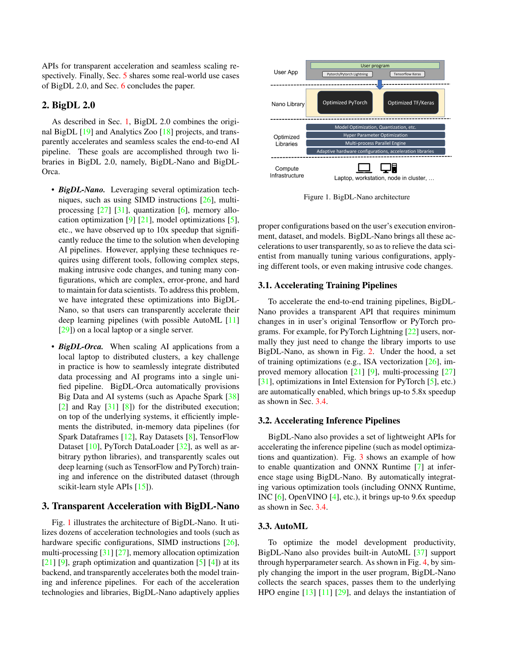APIs for transparent acceleration and seamless scaling respectively. Finally, Sec. 5 shares some real-world use cases of BigDL 2.0, and Sec. 6 concludes the paper.

# 2. BigDL 2.0

As described in Sec. 1, BigDL 2.0 combines the original BigDL [19] and Analytics Zoo [18] projects, and transparently accelerates and seamless scales the end-to-end AI pipeline. These goals are accomplished through two libraries in BigDL 2.0, namely, BigDL-Nano and BigDL-Orca.

- *BigDL-Nano.* Leveraging several optimization techniques, such as using SIMD instructions [26], multiprocessing  $[27]$   $[31]$ , quantization  $[6]$ , memory allocation optimization  $[9]$   $[21]$ , model optimizations  $[5]$ , etc., we have observed up to 10x speedup that significantly reduce the time to the solution when developing AI pipelines. However, applying these techniques requires using different tools, following complex steps, making intrusive code changes, and tuning many configurations, which are complex, error-prone, and hard to maintain for data scientists. To address this problem, we have integrated these optimizations into BigDL-Nano, so that users can transparently accelerate their deep learning pipelines (with possible AutoML [11] [29]) on a local laptop or a single server.
- *BigDL-Orca*. When scaling AI applications from a local laptop to distributed clusters, a key challenge in practice is how to seamlessly integrate distributed data processing and AI programs into a single unified pipeline. BigDL-Orca automatically provisions Big Data and AI systems (such as Apache Spark [38] [2] and Ray [31] [8]) for the distributed execution; on top of the underlying systems, it efficiently implements the distributed, in-memory data pipelines (for Spark Dataframes [12], Ray Datasets [8], TensorFlow Dataset [10], PyTorch DataLoader [32], as well as arbitrary python libraries), and transparently scales out deep learning (such as TensorFlow and PyTorch) training and inference on the distributed dataset (through scikit-learn style APIs [15]).

#### 3. Transparent Acceleration with BigDL-Nano

Fig. 1 illustrates the architecture of BigDL-Nano. It utilizes dozens of acceleration technologies and tools (such as hardware specific configurations, SIMD instructions [26], multi-processing [31] [27], memory allocation optimization  $[21]$  [9], graph optimization and quantization [5] [4]) at its backend, and transparently accelerates both the model training and inference pipelines. For each of the acceleration technologies and libraries, BigDL-Nano adaptively applies



Figure 1. BigDL-Nano architecture

proper configurations based on the user's execution environment, dataset, and models. BigDL-Nano brings all these accelerations to user transparently, so as to relieve the data scientist from manually tuning various configurations, applying different tools, or even making intrusive code changes.

## 3.1. Accelerating Training Pipelines

To accelerate the end-to-end training pipelines, BigDL-Nano provides a transparent API that requires minimum changes in in user's original Tensorflow or PyTorch programs. For example, for PyTorch Lightning [22] users, normally they just need to change the library imports to use BigDL-Nano, as shown in Fig. 2. Under the hood, a set of training optimizations (e.g., ISA vectorization [26], improved memory allocation [21] [9], multi-processing [27] [31], optimizations in Intel Extension for PyTorch [5], etc.) are automatically enabled, which brings up-to 5.8x speedup as shown in Sec. 3.4.

#### 3.2. Accelerating Inference Pipelines

BigDL-Nano also provides a set of lightweight APIs for accelerating the inference pipeline (such as model optimizations and quantization). Fig. 3 shows an example of how to enable quantization and ONNX Runtime [7] at inference stage using BigDL-Nano. By automatically integrating various optimization tools (including ONNX Runtime, INC [6], OpenVINO [4], etc.), it brings up-to 9.6x speedup as shown in Sec. 3.4.

#### 3.3. AutoML

To optimize the model development productivity, BigDL-Nano also provides built-in AutoML [37] support through hyperparameter search. As shown in Fig. 4, by simply changing the import in the user program, BigDL-Nano collects the search spaces, passes them to the underlying HPO engine [13] [11] [29], and delays the instantiation of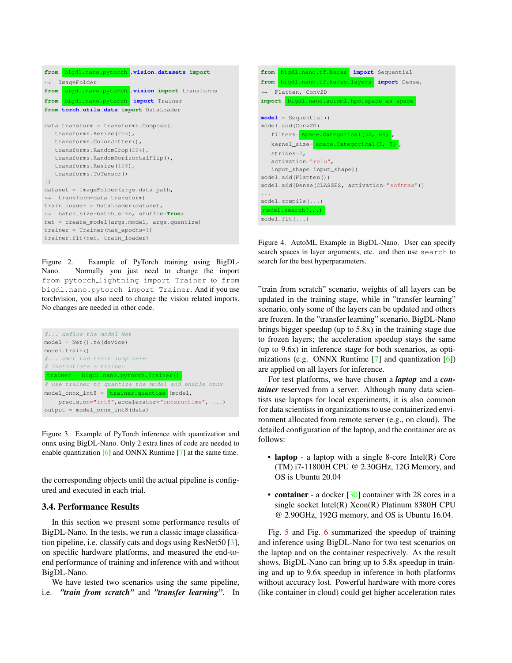```
from bigdl.nano.pytorch .vision.datasets import
,→ ImageFolder
from bigdl.nano.pytorch .vision import transforms
from bigdl.nano.pytorch import Trainer
from torch.utils.data import DataLoader
data_transform = transforms.Compose([
  transforms.Resize(256),
  transforms.ColorJitter(),
   transforms.RandomCrop(224),
  transforms.RandomHorizontalFlip(),
  transforms.Resize(128),
  transforms.ToTensor()
])
dataset = ImageFolder(args.data_path,
,→ transform=data_transform)
train_loader = DataLoader(dataset,
,→ batch_size=batch_size, shuffle=True)
net = create_model(args.model, args.quantize)
trainer = Trainer(max_epochs=1)
trainer.fit(net, train_loader)
```


Figure 4. AutoML Example in BigDL-Nano. User can specify search spaces in layer arguments, etc. and then use search to search for the best hyperparameters.

Figure 2. Example of PyTorch training using BigDL-Nano. Normally you just need to change the import from pytorch lightning import Trainer to from bigdl.nano.pytorch import Trainer. And if you use torchvision, you also need to change the vision related imports. No changes are needed in other code.

| # define the model Net                                                 |
|------------------------------------------------------------------------|
| $model = Net() . to (device)$                                          |
| model.train()                                                          |
| # omit the train loop here                                             |
| # instantiate a trainer                                                |
| $trainer = bid1.name.pytorch.Trainer()$                                |
| # use trainer to quantize the model and enable onnx                    |
| $model_{onnx\_int8} = \frac{t_{rainer, quantize}}{t_{minmax}}$ (model, |
| precision="int8", accelerator="onnxruntime", )                         |
| output = model_onnx_int8(data)                                         |

Figure 3. Example of PyTorch inference with quantization and onnx using BigDL-Nano. Only 2 extra lines of code are needed to enable quantization [6] and ONNX Runtime [7] at the same time.

the corresponding objects until the actual pipeline is configured and executed in each trial.

#### 3.4. Performance Results

In this section we present some performance results of BigDL-Nano. In the tests, we run a classic image classification pipeline, i.e. classify cats and dogs using ResNet50 [3], on specific hardware platforms, and measured the end-toend performance of training and inference with and without BigDL-Nano.

We have tested two scenarios using the same pipeline, i.e. *"train from scratch"* and *"transfer learning"*. In "train from scratch" scenario, weights of all layers can be updated in the training stage, while in "transfer learning" scenario, only some of the layers can be updated and others are frozen. In the "transfer learning" scenario, BigDL-Nano brings bigger speedup (up to 5.8x) in the training stage due to frozen layers; the acceleration speedup stays the same (up to 9.6x) in inference stage for both scenarios, as optimizations (e.g. ONNX Runtime [7] and quantization [6]) are applied on all layers for inference.

For test platforms, we have chosen a *laptop* and a *container* reserved from a server. Although many data scientists use laptops for local experiments, it is also common for data scientists in organizations to use containerized environment allocated from remote server (e.g., on cloud). The detailed configuration of the laptop, and the container are as follows:

- laptop a laptop with a single 8-core Intel(R) Core (TM) i7-11800H CPU @ 2.30GHz, 12G Memory, and OS is Ubuntu 20.04
- container a docker [30] container with 28 cores in a single socket Intel(R) Xeon(R) Platinum 8380H CPU @ 2.90GHz, 192G memory, and OS is Ubuntu 16.04.

Fig. 5 and Fig. 6 summarized the speedup of training and inference using BigDL-Nano for two test scenarios on the laptop and on the container respectively. As the result shows, BigDL-Nano can bring up to 5.8x speedup in training and up to 9.6x speedup in inference in both platforms without accuracy lost. Powerful hardware with more cores (like container in cloud) could get higher acceleration rates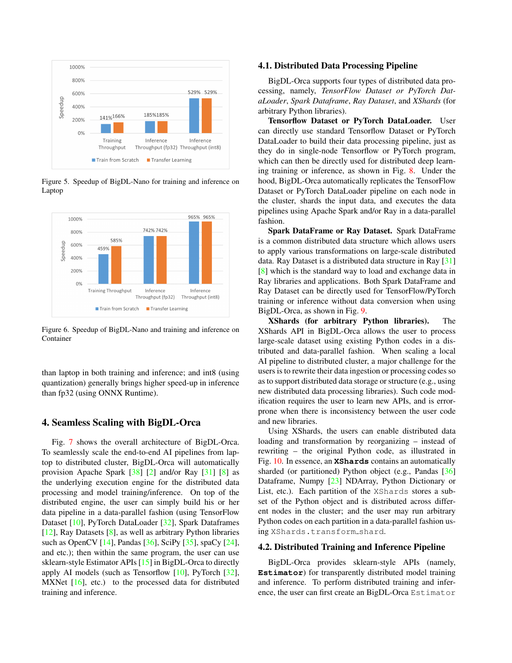

Figure 5. Speedup of BigDL-Nano for training and inference on Laptop



Figure 6. Speedup of BigDL-Nano and training and inference on Container

than laptop in both training and inference; and int8 (using quantization) generally brings higher speed-up in inference than fp32 (using ONNX Runtime).

#### 4. Seamless Scaling with BigDL-Orca

Fig. 7 shows the overall architecture of BigDL-Orca. To seamlessly scale the end-to-end AI pipelines from laptop to distributed cluster, BigDL-Orca will automatically provision Apache Spark [38] [2] and/or Ray [31] [8] as the underlying execution engine for the distributed data processing and model training/inference. On top of the distributed engine, the user can simply build his or her data pipeline in a data-parallel fashion (using TensorFlow Dataset [10], PyTorch DataLoader [32], Spark Dataframes [12], Ray Datasets [8], as well as arbitrary Python libraries such as OpenCV [14], Pandas [36], SciPy [35], spaCy [24], and etc.); then within the same program, the user can use sklearn-style Estimator APIs [15] in BigDL-Orca to directly apply AI models (such as Tensorflow [10], PyTorch [32], MXNet [16], etc.) to the processed data for distributed training and inference.

#### 4.1. Distributed Data Processing Pipeline

BigDL-Orca supports four types of distributed data processing, namely, *TensorFlow Dataset or PyTorch DataLoader*, *Spark Dataframe*, *Ray Dataset*, and *XShards* (for arbitrary Python libraries).

Tensorflow Dataset or PyTorch DataLoader. User can directly use standard Tensorflow Dataset or PyTorch DataLoader to build their data processing pipeline, just as they do in single-node Tensorflow or PyTorch program, which can then be directly used for distributed deep learning training or inference, as shown in Fig. 8. Under the hood, BigDL-Orca automatically replicates the TensorFlow Dataset or PyTorch DataLoader pipeline on each node in the cluster, shards the input data, and executes the data pipelines using Apache Spark and/or Ray in a data-parallel fashion.

Spark DataFrame or Ray Dataset. Spark DataFrame is a common distributed data structure which allows users to apply various transformations on large-scale distributed data. Ray Dataset is a distributed data structure in Ray [31] [8] which is the standard way to load and exchange data in Ray libraries and applications. Both Spark DataFrame and Ray Dataset can be directly used for TensorFlow/PyTorch training or inference without data conversion when using BigDL-Orca, as shown in Fig. 9.

XShards (for arbitrary Python libraries). The XShards API in BigDL-Orca allows the user to process large-scale dataset using existing Python codes in a distributed and data-parallel fashion. When scaling a local AI pipeline to distributed cluster, a major challenge for the users is to rewrite their data ingestion or processing codes so as to support distributed data storage or structure (e.g., using new distributed data processing libraries). Such code modification requires the user to learn new APIs, and is errorprone when there is inconsistency between the user code and new libraries.

Using XShards, the users can enable distributed data loading and transformation by reorganizing – instead of rewriting – the original Python code, as illustrated in Fig. 10. In essence, an **XShards** contains an automatically sharded (or partitioned) Python object (e.g., Pandas [36] Dataframe, Numpy [23] NDArray, Python Dictionary or List, etc.). Each partition of the XShards stores a subset of the Python object and is distributed across different nodes in the cluster; and the user may run arbitrary Python codes on each partition in a data-parallel fashion using XShards.transform shard.

#### 4.2. Distributed Training and Inference Pipeline

BigDL-Orca provides sklearn-style APIs (namely, **Estimator**) for transparently distributed model training and inference. To perform distributed training and inference, the user can first create an BigDL-Orca Estimator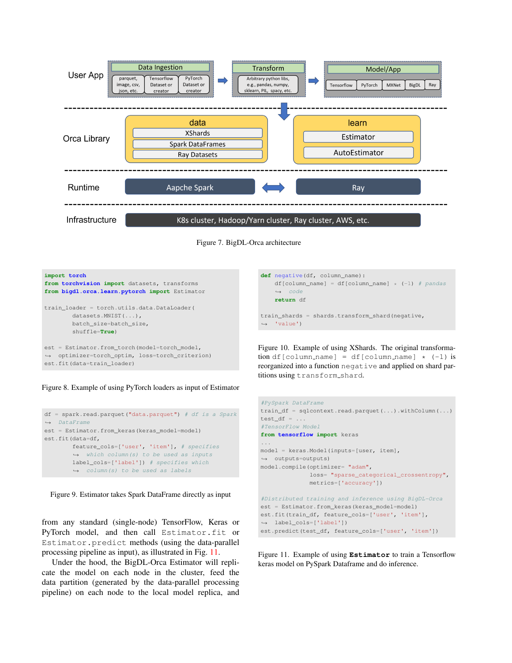

Figure 7. BigDL-Orca architecture

```
import torch
from torchvision import datasets, transforms
from bigdl.orca.learn.pytorch import Estimator
train_loader = torch.utils.data.DataLoader(
       datasets.MNIST(...),
       batch_size=batch_size,
        shuffle=True)
est = Estimator.from torch(model=torch_model,
,→ optimizer=torch_optim, loss=torch_criterion)
```
Figure 8. Example of using PyTorch loaders as input of Estimator

est.fit(data=train\_loader)

```
df = spark.read.parent("data.parent") # df is a Spark,→ DataFrame
est = Estimator.from_keras(keras_model=model)
est.fit(data=df,
        feature_cols=['user', 'item'], # specifies
        ,→ which column(s) to be used as inputs
        label_cols=['label']) # specifies which
        \leftrightarrow column(s) to be used as labels
```
Figure 9. Estimator takes Spark DataFrame directly as input

from any standard (single-node) TensorFlow, Keras or PyTorch model, and then call Estimator.fit or Estimator.predict methods (using the data-parallel processing pipeline as input), as illustrated in Fig. 11.

Under the hood, the BigDL-Orca Estimator will replicate the model on each node in the cluster, feed the data partition (generated by the data-parallel processing pipeline) on each node to the local model replica, and



Figure 10. Example of using XShards. The original transformation df[column\_name] = df[column\_name]  $\star$  (-1) is reorganized into a function negative and applied on shard partitions using transform shard.

```
#PySpark DataFrame
train_df = sqlcontext.read.parquet(...).withColumn(...)
test_df = ...#TensorFlow Model
from tensorflow import keras
...
model = keras.Model(inputs=[user, item],
,→ outputs=outputs)
model.compile(optimizer= "adam",
             loss= "sparse_categorical_crossentropy",
             metrics=['accuracy'])
#Distributed training and inference using BigDL-Orca
est = Estimator.from_keras(keras_model=model)
est.fit(train_df, feature_cols=['user', 'item'],
,→ label_cols=['label'])
est.predict(test_df, feature_cols=['user', 'item'])
```
Figure 11. Example of using **Estimator** to train a Tensorflow keras model on PySpark Dataframe and do inference.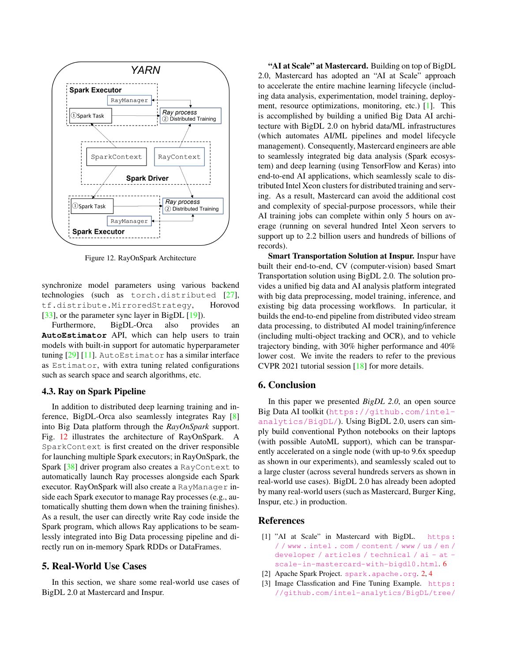

Figure 12. RayOnSpark Architecture

synchronize model parameters using various backend technologies (such as torch.distributed [27], tf.distribute.MirroredStrategy, Horovod [33], or the parameter sync layer in BigDL [19]).

Furthermore, BigDL-Orca also provides an **AutoEstimator** API, which can help users to train models with built-in support for automatic hyperparameter tuning [29] [11]. AutoEstimator has a similar interface as Estimator, with extra tuning related configurations such as search space and search algorithms, etc.

#### 4.3. Ray on Spark Pipeline

In addition to distributed deep learning training and inference, BigDL-Orca also seamlessly integrates Ray [8] into Big Data platform through the *RayOnSpark* support. Fig. 12 illustrates the architecture of RayOnSpark. A SparkContext is first created on the driver responsible for launching multiple Spark executors; in RayOnSpark, the Spark [38] driver program also creates a RayContext to automatically launch Ray processes alongside each Spark executor. RayOnSpark will also create a RayManager inside each Spark executor to manage Ray processes (e.g., automatically shutting them down when the training finishes). As a result, the user can directly write Ray code inside the Spark program, which allows Ray applications to be seamlessly integrated into Big Data processing pipeline and directly run on in-memory Spark RDDs or DataFrames.

# 5. Real-World Use Cases

In this section, we share some real-world use cases of BigDL 2.0 at Mastercard and Inspur.

"AI at Scale" at Mastercard. Building on top of BigDL 2.0, Mastercard has adopted an "AI at Scale" approach to accelerate the entire machine learning lifecycle (including data analysis, experimentation, model training, deployment, resource optimizations, monitoring, etc.) [1]. This is accomplished by building a unified Big Data AI architecture with BigDL 2.0 on hybrid data/ML infrastructures (which automates AI/ML pipelines and model lifecycle management). Consequently, Mastercard engineers are able to seamlessly integrated big data analysis (Spark ecosystem) and deep learning (using TensorFlow and Keras) into end-to-end AI applications, which seamlessly scale to distributed Intel Xeon clusters for distributed training and serving. As a result, Mastercard can avoid the additional cost and complexity of special-purpose processors, while their AI training jobs can complete within only 5 hours on average (running on several hundred Intel Xeon servers to support up to 2.2 billion users and hundreds of billions of records).

Smart Transportation Solution at Inspur. Inspur have built their end-to-end, CV (computer-vision) based Smart Transportation solution using BigDL 2.0. The solution provides a unified big data and AI analysis platform integrated with big data preprocessing, model training, inference, and existing big data processing workflows. In particular, it builds the end-to-end pipeline from distributed video stream data processing, to distributed AI model training/inference (including multi-object tracking and OCR), and to vehicle trajectory binding, with 30% higher performance and 40% lower cost. We invite the readers to refer to the previous CVPR 2021 tutorial session [18] for more details.

### 6. Conclusion

In this paper we presented *BigDL 2.0*, an open source Big Data AI toolkit (https://github.com/intelanalytics/BigDL/). Using BigDL 2.0, users can simply build conventional Python notebooks on their laptops (with possible AutoML support), which can be transparently accelerated on a single node (with up-to 9.6x speedup as shown in our experiments), and seamlessly scaled out to a large cluster (across several hundreds servers as shown in real-world use cases). BigDL 2.0 has already been adopted by many real-world users (such as Mastercard, Burger King, Inspur, etc.) in production.

#### References

- [1] "AI at Scale" in Mastercard with BigDL. https: / / www . intel . com / content / www / us / en / developer / articles / technical / ai - at scale-in-mastercard-with-bigdl0.html. 6
- [2] Apache Spark Project. spark.apache.org. 2, 4
- [3] Image Classfication and Fine Tuning Example. https: //github.com/intel-analytics/BigDL/tree/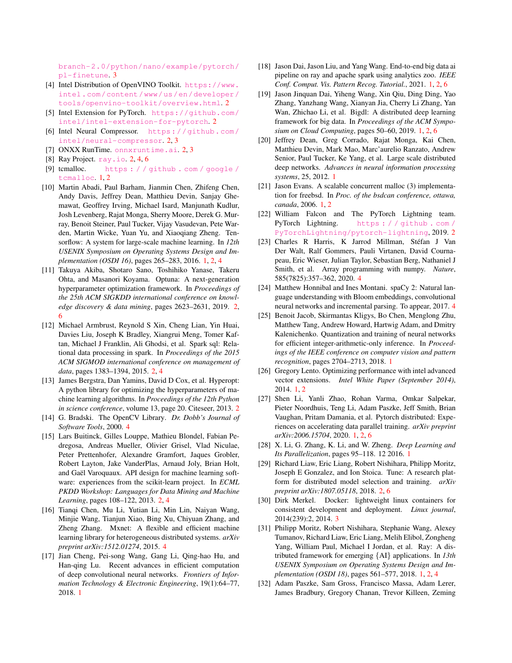branch-2.0/python/nano/example/pytorch/ pl-finetune. 3

- [4] Intel Distribution of OpenVINO Toolkit. https://www. intel.com/content/www/us/en/developer/ tools/openvino-toolkit/overview.html. 2
- [5] Intel Extension for PyTorch. https://github.com/ intel/intel-extension-for-pytorch. 2
- [6] Intel Neural Compressor. https://github.com/ intel/neural-compressor. 2, 3
- [7] ONXX RunTime. onnxruntime.ai. 2, 3
- [8] Ray Project. ray.io. 2, 4, 6
- [9] tcmalloc. https : / / github . com / google / tcmalloc. 1, 2
- [10] Martin Abadi, Paul Barham, Jianmin Chen, Zhifeng Chen, Andy Davis, Jeffrey Dean, Matthieu Devin, Sanjay Ghemawat, Geoffrey Irving, Michael Isard, Manjunath Kudlur, Josh Levenberg, Rajat Monga, Sherry Moore, Derek G. Murray, Benoit Steiner, Paul Tucker, Vijay Vasudevan, Pete Warden, Martin Wicke, Yuan Yu, and Xiaoqiang Zheng. Tensorflow: A system for large-scale machine learning. In *12th USENIX Symposium on Operating Systems Design and Implementation (OSDI 16)*, pages 265–283, 2016. 1, 2, 4
- [11] Takuya Akiba, Shotaro Sano, Toshihiko Yanase, Takeru Ohta, and Masanori Koyama. Optuna: A next-generation hyperparameter optimization framework. In *Proceedings of the 25th ACM SIGKDD international conference on knowledge discovery & data mining*, pages 2623–2631, 2019. 2, 6
- [12] Michael Armbrust, Reynold S Xin, Cheng Lian, Yin Huai, Davies Liu, Joseph K Bradley, Xiangrui Meng, Tomer Kaftan, Michael J Franklin, Ali Ghodsi, et al. Spark sql: Relational data processing in spark. In *Proceedings of the 2015 ACM SIGMOD international conference on management of data*, pages 1383–1394, 2015. 2, 4
- [13] James Bergstra, Dan Yamins, David D Cox, et al. Hyperopt: A python library for optimizing the hyperparameters of machine learning algorithms. In *Proceedings of the 12th Python in science conference*, volume 13, page 20. Citeseer, 2013. 2
- [14] G. Bradski. The OpenCV Library. *Dr. Dobb's Journal of Software Tools*, 2000. 4
- [15] Lars Buitinck, Gilles Louppe, Mathieu Blondel, Fabian Pedregosa, Andreas Mueller, Olivier Grisel, Vlad Niculae, Peter Prettenhofer, Alexandre Gramfort, Jaques Grobler, Robert Layton, Jake VanderPlas, Arnaud Joly, Brian Holt, and Gaël Varoquaux. API design for machine learning software: experiences from the scikit-learn project. In *ECML PKDD Workshop: Languages for Data Mining and Machine Learning*, pages 108–122, 2013. 2, 4
- [16] Tianqi Chen, Mu Li, Yutian Li, Min Lin, Naiyan Wang, Minjie Wang, Tianjun Xiao, Bing Xu, Chiyuan Zhang, and Zheng Zhang. Mxnet: A flexible and efficient machine learning library for heterogeneous distributed systems. *arXiv preprint arXiv:1512.01274*, 2015. 4
- [17] Jian Cheng, Pei-song Wang, Gang Li, Qing-hao Hu, and Han-qing Lu. Recent advances in efficient computation of deep convolutional neural networks. *Frontiers of Information Technology & Electronic Engineering*, 19(1):64–77, 2018. 1
- [18] Jason Dai, Jason Liu, and Yang Wang. End-to-end big data ai pipeline on ray and apache spark using analytics zoo. *IEEE Conf. Comput. Vis. Pattern Recog. Tutorial.*, 2021. 1, 2, 6
- [19] Jason Jinquan Dai, Yiheng Wang, Xin Qiu, Ding Ding, Yao Zhang, Yanzhang Wang, Xianyan Jia, Cherry Li Zhang, Yan Wan, Zhichao Li, et al. Bigdl: A distributed deep learning framework for big data. In *Proceedings of the ACM Symposium on Cloud Computing*, pages 50–60, 2019. 1, 2, 6
- [20] Jeffrey Dean, Greg Corrado, Rajat Monga, Kai Chen, Matthieu Devin, Mark Mao, Marc'aurelio Ranzato, Andrew Senior, Paul Tucker, Ke Yang, et al. Large scale distributed deep networks. *Advances in neural information processing systems*, 25, 2012. 1
- [21] Jason Evans. A scalable concurrent malloc (3) implementation for freebsd. In *Proc. of the bsdcan conference, ottawa, canada*, 2006. 1, 2
- [22] William Falcon and The PyTorch Lightning team. PyTorch Lightning. https : / / github . com / PyTorchLightning/pytorch-lightning, 2019. 2
- [23] Charles R Harris, K Jarrod Millman, Stéfan J Van Der Walt, Ralf Gommers, Pauli Virtanen, David Cournapeau, Eric Wieser, Julian Taylor, Sebastian Berg, Nathaniel J Smith, et al. Array programming with numpy. *Nature*, 585(7825):357–362, 2020. 4
- [24] Matthew Honnibal and Ines Montani. spaCy 2: Natural language understanding with Bloom embeddings, convolutional neural networks and incremental parsing. To appear, 2017. 4
- [25] Benoit Jacob, Skirmantas Kligys, Bo Chen, Menglong Zhu, Matthew Tang, Andrew Howard, Hartwig Adam, and Dmitry Kalenichenko. Quantization and training of neural networks for efficient integer-arithmetic-only inference. In *Proceedings of the IEEE conference on computer vision and pattern recognition*, pages 2704–2713, 2018. 1
- [26] Gregory Lento. Optimizing performance with intel advanced vector extensions. *Intel White Paper (September 2014)*, 2014. 1, 2
- [27] Shen Li, Yanli Zhao, Rohan Varma, Omkar Salpekar, Pieter Noordhuis, Teng Li, Adam Paszke, Jeff Smith, Brian Vaughan, Pritam Damania, et al. Pytorch distributed: Experiences on accelerating data parallel training. *arXiv preprint arXiv:2006.15704*, 2020. 1, 2, 6
- [28] X. Li, G. Zhang, K. Li, and W. Zheng. *Deep Learning and Its Parallelization*, pages 95–118. 12 2016. 1
- [29] Richard Liaw, Eric Liang, Robert Nishihara, Philipp Moritz, Joseph E Gonzalez, and Ion Stoica. Tune: A research platform for distributed model selection and training. *arXiv preprint arXiv:1807.05118*, 2018. 2, 6
- [30] Dirk Merkel. Docker: lightweight linux containers for consistent development and deployment. *Linux journal*, 2014(239):2, 2014. 3
- [31] Philipp Moritz, Robert Nishihara, Stephanie Wang, Alexey Tumanov, Richard Liaw, Eric Liang, Melih Elibol, Zongheng Yang, William Paul, Michael I Jordan, et al. Ray: A distributed framework for emerging {AI} applications. In *13th USENIX Symposium on Operating Systems Design and Implementation (OSDI 18)*, pages 561–577, 2018. 1, 2, 4
- [32] Adam Paszke, Sam Gross, Francisco Massa, Adam Lerer, James Bradbury, Gregory Chanan, Trevor Killeen, Zeming